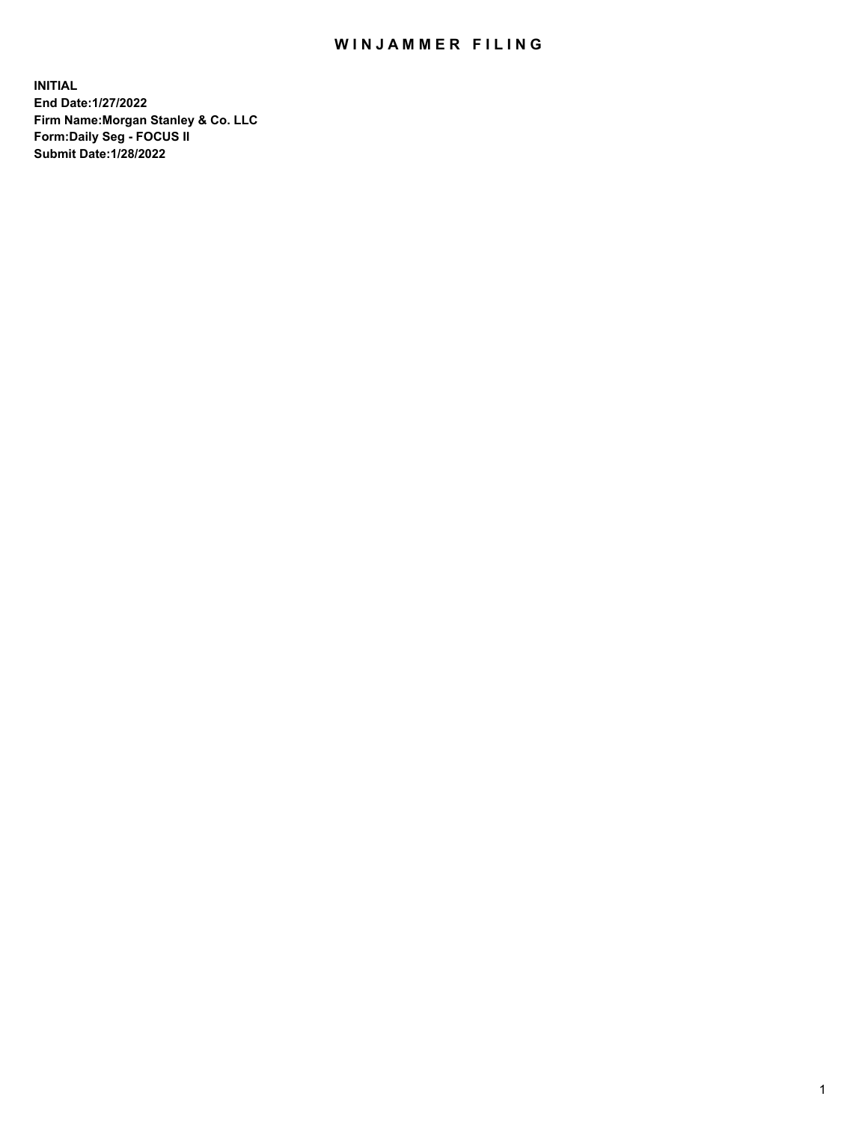## WIN JAMMER FILING

**INITIAL End Date:1/27/2022 Firm Name:Morgan Stanley & Co. LLC Form:Daily Seg - FOCUS II Submit Date:1/28/2022**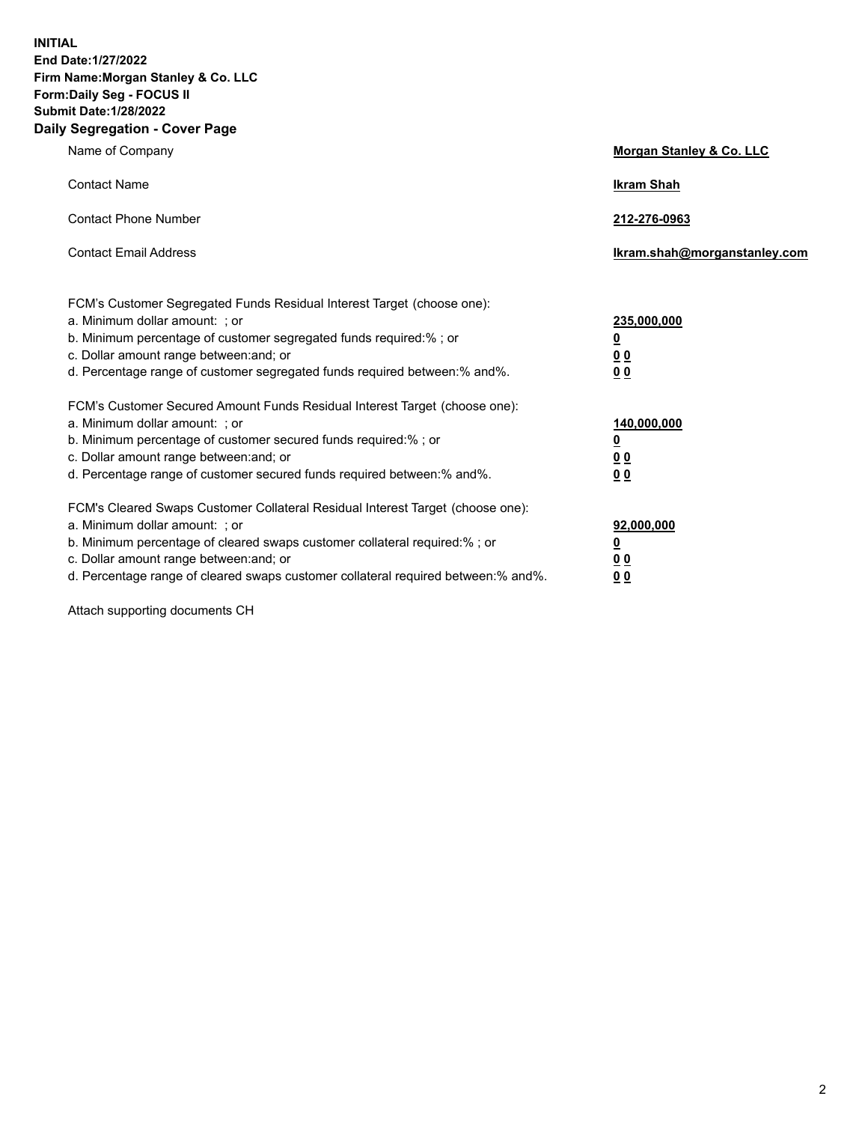**INITIAL End Date:1/27/2022 Firm Name:Morgan Stanley & Co. LLC Form:Daily Seg - FOCUS II Submit Date:1/28/2022 Daily Segregation - Cover Page**

| Name of Company                                                                                                                                                                                                                                                                                                                | Morgan Stanley & Co. LLC                               |
|--------------------------------------------------------------------------------------------------------------------------------------------------------------------------------------------------------------------------------------------------------------------------------------------------------------------------------|--------------------------------------------------------|
| <b>Contact Name</b>                                                                                                                                                                                                                                                                                                            | <b>Ikram Shah</b>                                      |
| <b>Contact Phone Number</b>                                                                                                                                                                                                                                                                                                    | 212-276-0963                                           |
| <b>Contact Email Address</b>                                                                                                                                                                                                                                                                                                   | Ikram.shah@morganstanley.com                           |
| FCM's Customer Segregated Funds Residual Interest Target (choose one):<br>a. Minimum dollar amount: : or<br>b. Minimum percentage of customer segregated funds required:%; or<br>c. Dollar amount range between: and; or<br>d. Percentage range of customer segregated funds required between:% and%.                          | 235,000,000<br><u>0</u><br>0 Q<br><u>00</u>            |
| FCM's Customer Secured Amount Funds Residual Interest Target (choose one):<br>a. Minimum dollar amount: ; or<br>b. Minimum percentage of customer secured funds required:%; or<br>c. Dollar amount range between: and; or<br>d. Percentage range of customer secured funds required between:% and%.                            | 140,000,000<br><u>0</u><br><u>00</u><br>0 <sub>0</sub> |
| FCM's Cleared Swaps Customer Collateral Residual Interest Target (choose one):<br>a. Minimum dollar amount: ; or<br>b. Minimum percentage of cleared swaps customer collateral required:% ; or<br>c. Dollar amount range between: and; or<br>d. Percentage range of cleared swaps customer collateral required between:% and%. | 92,000,000<br><u>0</u><br><u>00</u><br>0 <sub>0</sub>  |

Attach supporting documents CH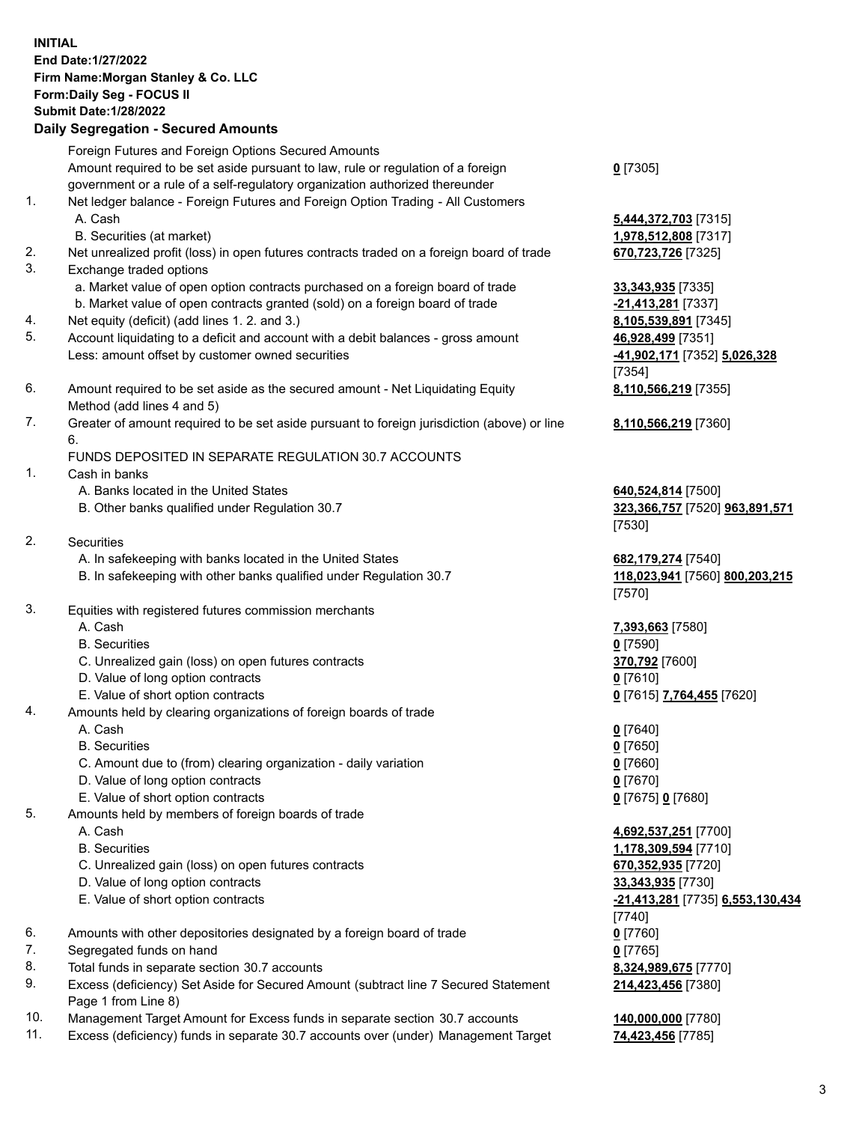## **INITIAL End Date:1/27/2022 Firm Name:Morgan Stanley & Co. LLC Form:Daily Seg - FOCUS II Submit Date:1/28/2022 Daily Segregation - Secured Amounts** Foreign Futures and Foreign Options Secured Amounts Amount required to be set aside pursuant to law, rule or regulation of a foreign government or a rule of a self-regulatory organization authorized thereunder 1. Net ledger balance - Foreign Futures and Foreign Option Trading - All Customers A. Cash **5,444,372,703** [7315] B. Securities (at market) **1,978,512,808** [7317] 2. Net unrealized profit (loss) in open futures contracts traded on a foreign board of trade **670,723,726** [7325] 3. Exchange traded options a. Market value of open option contracts purchased on a foreign board of trade **33,343,935** [7335] b. Market value of open contracts granted (sold) on a foreign board of trade **-21,413,281** [7337] 4. Net equity (deficit) (add lines 1. 2. and 3.) **8,105,539,891** [7345] 5. Account liquidating to a deficit and account with a debit balances - gross amount **46,928,499** [7351] Less: amount offset by customer owned securities **-41,902,171** [7352] **5,026,328** 6. Amount required to be set aside as the secured amount - Net Liquidating Equity Method (add lines 4 and 5) 7. Greater of amount required to be set aside pursuant to foreign jurisdiction (above) or line 6. FUNDS DEPOSITED IN SEPARATE REGULATION 30.7 ACCOUNTS 1. Cash in banks A. Banks located in the United States **640,524,814** [7500] B. Other banks qualified under Regulation 30.7 **323,366,757** [7520] **963,891,571** 2. Securities A. In safekeeping with banks located in the United States **682,179,274** [7540] B. In safekeeping with other banks qualified under Regulation 30.7 **118,023,941** [7560] **800,203,215** 3. Equities with registered futures commission merchants A. Cash **7,393,663** [7580] B. Securities **0** [7590] C. Unrealized gain (loss) on open futures contracts **370,792** [7600] D. Value of long option contracts **0** [7610] E. Value of short option contracts **0** [7615] **7,764,455** [7620] 4. Amounts held by clearing organizations of foreign boards of trade A. Cash **0** [7640] B. Securities **0** [7650]

- C. Amount due to (from) clearing organization daily variation **0** [7660]
- D. Value of long option contracts **0** [7670]
- E. Value of short option contracts **0** [7675] **0** [7680]
- 5. Amounts held by members of foreign boards of trade
	-
	-
	- C. Unrealized gain (loss) on open futures contracts **670,352,935** [7720]
	- D. Value of long option contracts **33,343,935** [7730]
	-
- 6. Amounts with other depositories designated by a foreign board of trade **0** [7760]
- 7. Segregated funds on hand **0** [7765]
- 8. Total funds in separate section 30.7 accounts **8,324,989,675** [7770]
- 9. Excess (deficiency) Set Aside for Secured Amount (subtract line 7 Secured Statement Page 1 from Line 8)
- 10. Management Target Amount for Excess funds in separate section 30.7 accounts **140,000,000** [7780]
- 11. Excess (deficiency) funds in separate 30.7 accounts over (under) Management Target **74,423,456** [7785]

**0** [7305]

[7354] **8,110,566,219** [7355]

**8,110,566,219** [7360]

[7530]

[7570]

 A. Cash **4,692,537,251** [7700] B. Securities **1,178,309,594** [7710] E. Value of short option contracts **-21,413,281** [7735] **6,553,130,434** [7740] **214,423,456** [7380]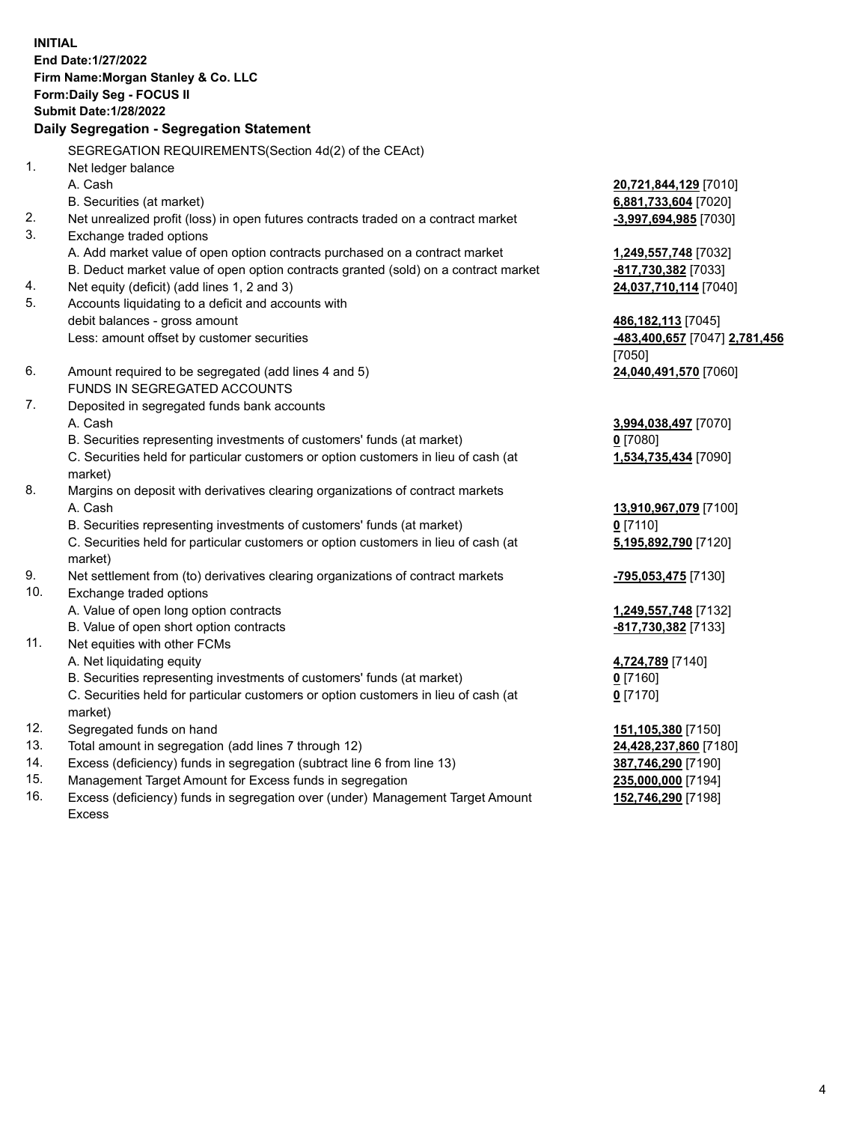**INITIAL End Date:1/27/2022 Firm Name:Morgan Stanley & Co. LLC Form:Daily Seg - FOCUS II Submit Date:1/28/2022 Daily Segregation - Segregation Statement** SEGREGATION REQUIREMENTS(Section 4d(2) of the CEAct) 1. Net ledger balance A. Cash **20,721,844,129** [7010] B. Securities (at market) **6,881,733,604** [7020] 2. Net unrealized profit (loss) in open futures contracts traded on a contract market **-3,997,694,985** [7030] 3. Exchange traded options A. Add market value of open option contracts purchased on a contract market **1,249,557,748** [7032] B. Deduct market value of open option contracts granted (sold) on a contract market **-817,730,382** [7033] 4. Net equity (deficit) (add lines 1, 2 and 3) **24,037,710,114** [7040] 5. Accounts liquidating to a deficit and accounts with debit balances - gross amount **486,182,113** [7045] Less: amount offset by customer securities **-483,400,657** [7047] **2,781,456** [7050] 6. Amount required to be segregated (add lines 4 and 5) **24,040,491,570** [7060] FUNDS IN SEGREGATED ACCOUNTS 7. Deposited in segregated funds bank accounts A. Cash **3,994,038,497** [7070] B. Securities representing investments of customers' funds (at market) **0** [7080] C. Securities held for particular customers or option customers in lieu of cash (at market) **1,534,735,434** [7090] 8. Margins on deposit with derivatives clearing organizations of contract markets A. Cash **13,910,967,079** [7100] B. Securities representing investments of customers' funds (at market) **0** [7110] C. Securities held for particular customers or option customers in lieu of cash (at market) **5,195,892,790** [7120] 9. Net settlement from (to) derivatives clearing organizations of contract markets **-795,053,475** [7130] 10. Exchange traded options A. Value of open long option contracts **1,249,557,748** [7132] B. Value of open short option contracts **-817,730,382** [7133] 11. Net equities with other FCMs A. Net liquidating equity **4,724,789** [7140] B. Securities representing investments of customers' funds (at market) **0** [7160] C. Securities held for particular customers or option customers in lieu of cash (at market) **0** [7170] 12. Segregated funds on hand **151,105,380** [7150] 13. Total amount in segregation (add lines 7 through 12) **24,428,237,860** [7180] 14. Excess (deficiency) funds in segregation (subtract line 6 from line 13) **387,746,290** [7190] 15. Management Target Amount for Excess funds in segregation **235,000,000** [7194]

16. Excess (deficiency) funds in segregation over (under) Management Target Amount Excess

**152,746,290** [7198]